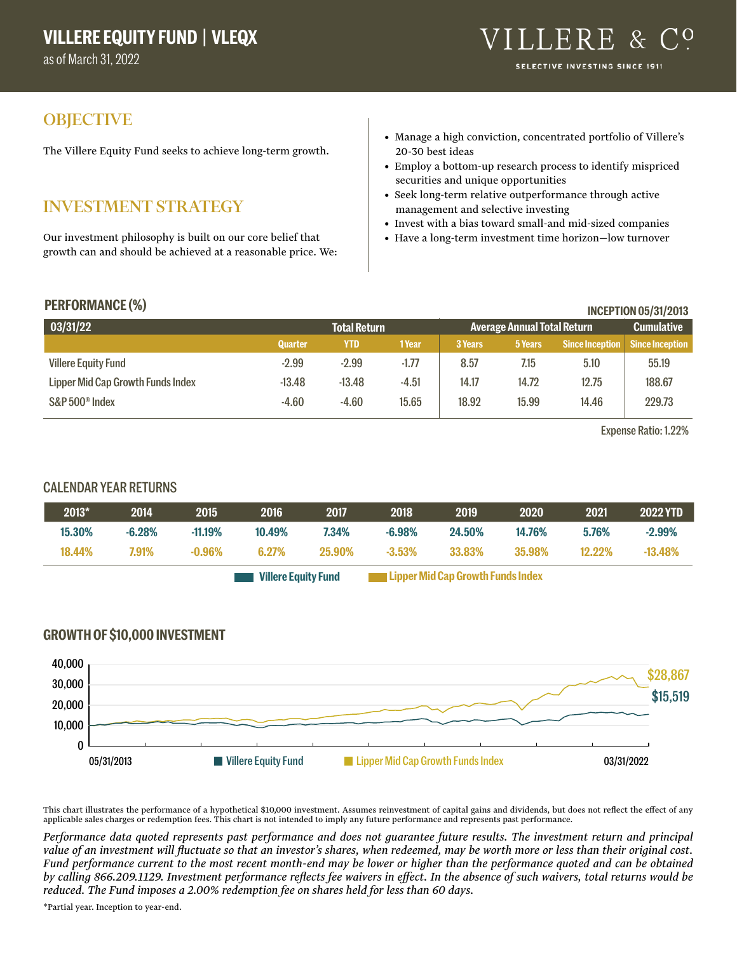as of March 31, 2022

## **OBJECTIVE**

The Villere Equity Fund seeks to achieve long-term growth.

# INVESTMENT STRATEGY

Our investment philosophy is built on our core belief that growth can and should be achieved at a reasonable price. We:

- Manage a high conviction, concentrated portfolio of Villere's 20-30 best ideas
- Employ a bottom-up research process to identify mispriced securities and unique opportunities
- Seek long-term relative outperformance through active management and selective investing
- Invest with a bias toward small-and mid-sized companies
- Have a long-term investment time horizon—low turnover

| <b>PERFORMANCE (%)</b><br><b>INCEPTION 05/31/2013</b> |                |                     |         |         |                                    |                        |                        |
|-------------------------------------------------------|----------------|---------------------|---------|---------|------------------------------------|------------------------|------------------------|
| 03/31/22                                              |                | <b>Total Return</b> |         |         | <b>Average Annual Total Return</b> |                        | <b>Cumulative</b>      |
|                                                       | <b>Quarter</b> | YTD                 | 1 Year  | 3 Years | 5 Years                            | <b>Since Inception</b> | <b>Since Inception</b> |
| <b>Villere Equity Fund</b>                            | $-2.99$        | $-2.99$             | $-1.77$ | 8.57    | 7.15                               | 5.10                   | 55.19                  |
| Lipper Mid Cap Growth Funds Index                     | $-13.48$       | $-13.48$            | $-4.51$ | 14.17   | 14.72                              | 12.75                  | 188.67                 |
| S&P 500 <sup>®</sup> Index                            | $-4.60$        | $-4.60$             | 15.65   | 18.92   | 15.99                              | 14.46                  | 229.73                 |

Expense Ratio: 1.22%

### CALENDAR YEAR RETURNS

| 2013*  | 2014     | 2015      | 2016                       | 2017   | 2018      | 2019                              | 2020   | 2021      | <b>2022 YTD</b> |
|--------|----------|-----------|----------------------------|--------|-----------|-----------------------------------|--------|-----------|-----------------|
| 15.30% | $-6.28%$ | $-11.19%$ | 10.49%                     | 7.34%  | $-6.98\%$ | 24.50%                            | 14.76% | 5.76%     | $-2.99%$        |
| 18.44% | 7.91%    | $-0.96\%$ | 6.27%                      | 25.90% | $-3.53\%$ | 33.83%                            | 35.98% | $12.22\%$ | $-13.48%$       |
|        |          |           | <b>Villere Equity Fund</b> |        |           | Lipper Mid Cap Growth Funds Index |        |           |                 |

#### **GROWTH OF \$10,000 INVESTMENT**



This chart illustrates the performance of a hypothetical \$10,000 investment. Assumes reinvestment of capital gains and dividends, but does not reflect the effect of any applicable sales charges or redemption fees. This chart is not intended to imply any future performance and represents past performance.

*Performance data quoted represents past performance and does not guarantee future results. The investment return and principal value of an investment will fluctuate so that an investor's shares, when redeemed, may be worth more or less than their original cost. Fund performance current to the most recent month-end may be lower or higher than the performance quoted and can be obtained by calling 866.209.1129. Investment performance reflects fee waivers in effect. In the absence of such waivers, total returns would be reduced. The Fund imposes a 2.00% redemption fee on shares held for less than 60 days.*

\*Partial year. Inception to year-end.